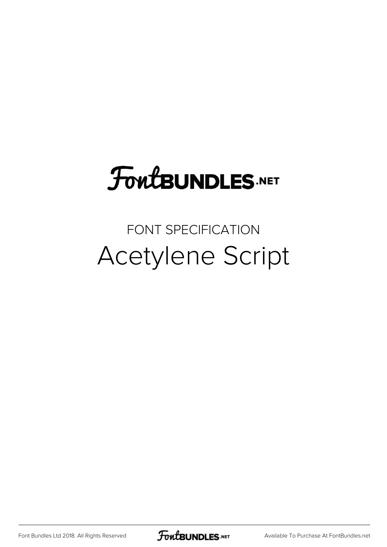# **FoutBUNDLES.NET**

### FONT SPECIFICATION Acetylene Script

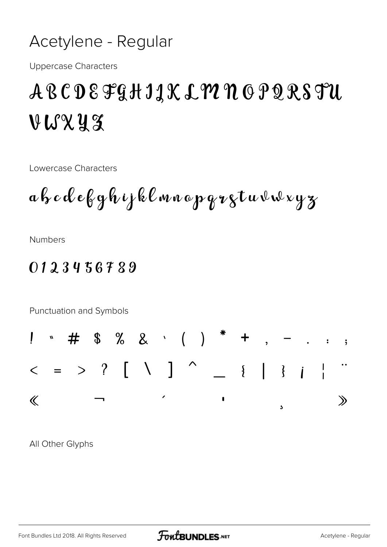#### Acetylene - Regular

**Uppercase Characters** 

## ABCDEFGHIJK LYUN OPQRSTU VUXYZ

Lowercase Characters

ah cdebyhijklmnopgrgtuvwxyz

**Numbers** 

#### 0123456789

Punctuation and Symbols



All Other Glyphs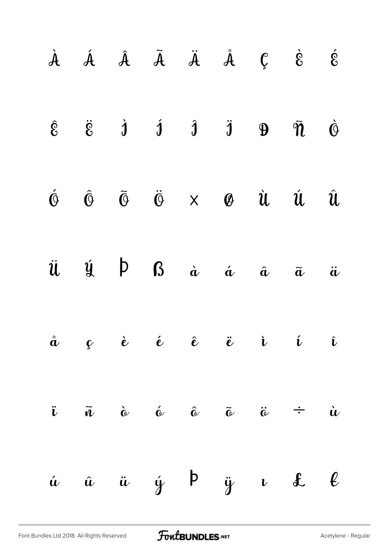|  |  |  | $\dot{A}$ $\dot{A}$ $\ddot{A}$ $\ddot{A}$ $\ddot{A}$ $\ddot{C}$ $\dot{\dot{c}}$ $\dot{\dot{c}}$                                                                                                          |            |
|--|--|--|----------------------------------------------------------------------------------------------------------------------------------------------------------------------------------------------------------|------------|
|  |  |  | $\hat{\varepsilon} \qquad \ddot{\varepsilon} \qquad \dot{\mathbf{j}} \qquad \dot{\mathbf{j}} \qquad \ddot{\mathbf{j}} \qquad \mathbf{9} \qquad \ddot{\mathbf{n}} \qquad \dot{\mathbf{\Theta}}$           |            |
|  |  |  | $\begin{array}{ccccccccccccc}\hat{\mathbb{O}}&\hat{\mathbb{O}}&\hat{\mathbb{O}}&\hat{\mathbb{O}}&\times&\mathscr{O}&\hat{\mathcal{U}}&\hat{\mathcal{U}}&\hat{\mathcal{U}}&\hat{\mathcal{U}}&\end{array}$ |            |
|  |  |  | $\ddot{u}$ $\dot{y}$ $\beta$ $\dot{a}$ $\dot{a}$ $\ddot{a}$ $\ddot{a}$                                                                                                                                   | $\ddot{a}$ |
|  |  |  | $\hat{a}$ $\varphi$ $\hat{e}$ $\hat{e}$ $\hat{e}$ $\hat{e}$ $\hat{e}$ $\hat{v}$ $\hat{v}$                                                                                                                |            |
|  |  |  | $\ddot{i}$ $\tilde{u}$ $\dot{\omega}$ $\acute{\omega}$ $\tilde{\omega}$ $\tilde{\omega}$ $\dot{\omega}$ $\div$ $\dot{u}$                                                                                 |            |
|  |  |  | $\acute{u}$ $\acute{u}$ $\acute{u}$ $\acute{y}$ $\acute{p}$ $\ddot{y}$ $\iota$ $\&$ $\ell$                                                                                                               |            |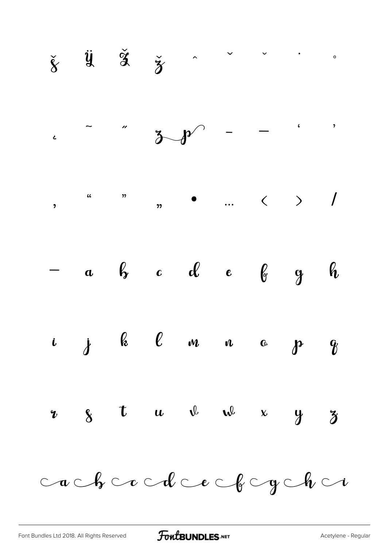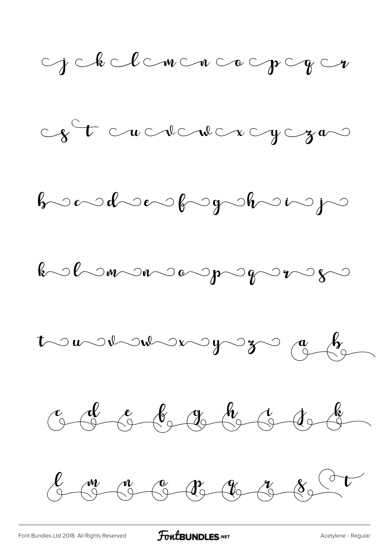

[Font Bundles Ltd 2018. All Rights Reserved](https://fontbundles.net/) **FoutBUNDLES.NET** [Acetylene - Regular](https://fontbundles.net/)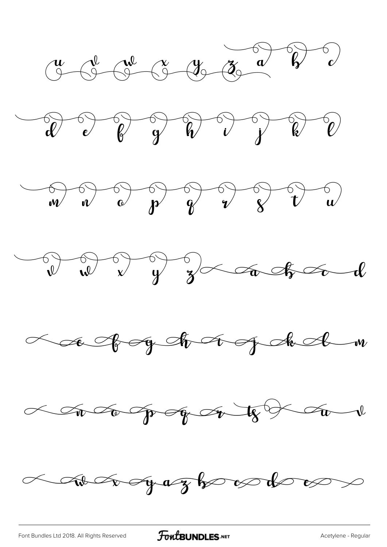











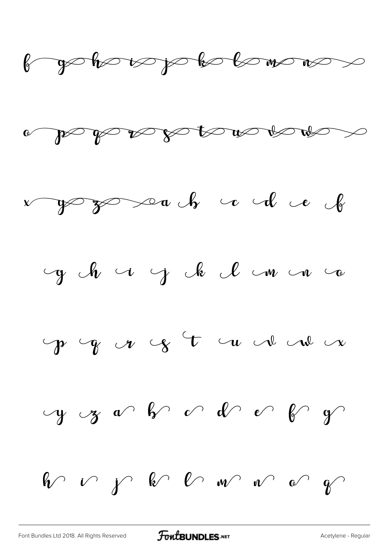







$$
\gamma \circ \gamma \circ \gamma \circ \gamma \circ \gamma \circ \gamma \circ \gamma
$$

$$
y \mathrel{\circ} y \mathrel{\circ} y \mathrel{\circ} \mathrel{\circ} y \mathrel{\circ} \mathrel{\circ} y \mathrel{\circ} y
$$

 $\mathbb{\mathbb{R}}$  is the set of  $\mathbb{R}$  of  $\mathbb{R}$  and  $\mathbb{R}$  of  $\mathbb{R}$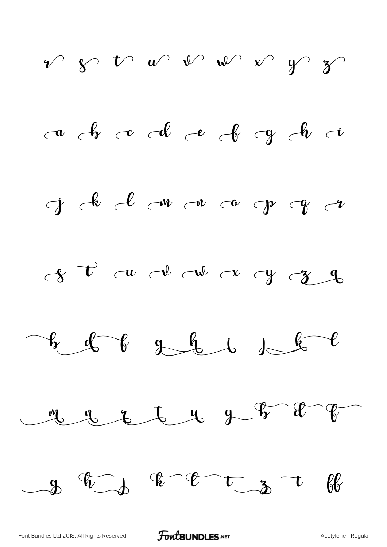

[Font Bundles Ltd 2018. All Rights Reserved](https://fontbundles.net/) **FoutBUNDLES.NET** [Acetylene - Regular](https://fontbundles.net/)